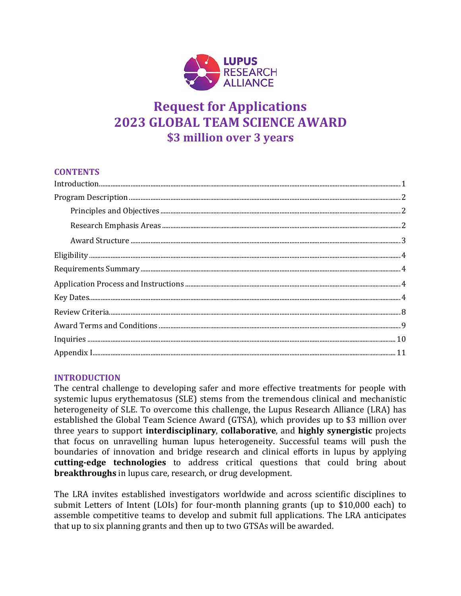

# **Request for Applications 2023 GLOBAL TEAM SCIENCE AWARD \$3 million over 3 years**

### **CONTENTS**

# <span id="page-0-0"></span>**INTRODUCTION**

The central challenge to developing safer and more effective treatments for people with systemic lupus erythematosus (SLE) stems from the tremendous clinical and mechanistic heterogeneity of SLE. To overcome this challenge, the Lupus Research Alliance (LRA) has established the Global Team Science Award (GTSA), which provides up to \$3 million over three years to support **interdisciplinary**, **collaborative**, and **highly synergistic** projects that focus on unravelling human lupus heterogeneity. Successful teams will push the boundaries of innovation and bridge research and clinical efforts in lupus by applying **cutting-edge technologies** to address critical questions that could bring about **breakthroughs** in lupus care, research, or drug development.

The LRA invites established investigators worldwide and across scientific disciplines to submit Letters of Intent (LOIs) for four-month planning grants (up to \$10,000 each) to assemble competitive teams to develop and submit full applications. The LRA anticipates that up to six planning grants and then up to two GTSAs will be awarded.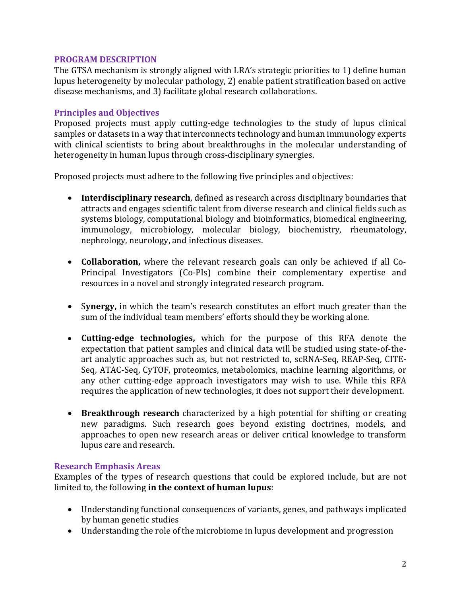### <span id="page-1-0"></span>**PROGRAM DESCRIPTION**

The GTSA mechanism is strongly aligned with LRA's strategic priorities to 1) define human lupus heterogeneity by molecular pathology, 2) enable patient stratification based on active disease mechanisms, and 3) facilitate global research collaborations.

### <span id="page-1-1"></span>**Principles and Objectives**

Proposed projects must apply cutting-edge technologies to the study of lupus clinical samples or datasets in a way that interconnects technology and human immunology experts with clinical scientists to bring about breakthroughs in the molecular understanding of heterogeneity in human lupus through cross-disciplinary synergies.

Proposed projects must adhere to the following five principles and objectives:

- **Interdisciplinary research**, defined as research across disciplinary boundaries that attracts and engages scientific talent from diverse research and clinical fields such as systems biology, computational biology and bioinformatics, biomedical engineering, immunology, microbiology, molecular biology, biochemistry, rheumatology, nephrology, neurology, and infectious diseases.
- **Collaboration,** where the relevant research goals can only be achieved if all Co-Principal Investigators (Co-PIs) combine their complementary expertise and resources in a novel and strongly integrated research program.
- S**ynergy,** in which the team's research constitutes an effort much greater than the sum of the individual team members' efforts should they be working alone.
- **Cutting-edge technologies,** which for the purpose of this RFA denote the expectation that patient samples and clinical data will be studied using state-of-theart analytic approaches such as, but not restricted to, scRNA-Seq, REAP-Seq, CITE-Seq, ATAC-Seq, CyTOF, proteomics, metabolomics, machine learning algorithms, or any other cutting-edge approach investigators may wish to use. While this RFA requires the application of new technologies, it does not support their development.
- **Breakthrough research** characterized by a high potential for shifting or creating new paradigms. Such research goes beyond existing doctrines, models, and approaches to open new research areas or deliver critical knowledge to transform lupus care and research.

# <span id="page-1-2"></span>**Research Emphasis Areas**

Examples of the types of research questions that could be explored include, but are not limited to, the following **in the context of human lupus**:

- Understanding functional consequences of variants, genes, and pathways implicated by human genetic studies
- Understanding the role of the microbiome in lupus development and progression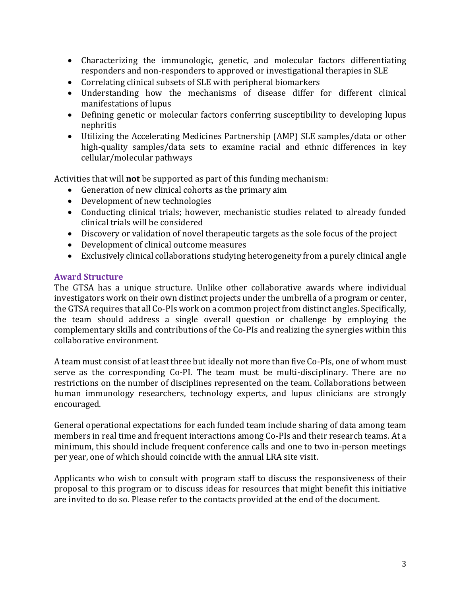- Characterizing the immunologic, genetic, and molecular factors differentiating responders and non-responders to approved or investigational therapies in SLE
- Correlating clinical subsets of SLE with peripheral biomarkers
- Understanding how the mechanisms of disease differ for different clinical manifestations of lupus
- Defining genetic or molecular factors conferring susceptibility to developing lupus nephritis
- Utilizing the Accelerating Medicines Partnership (AMP) SLE samples/data or other high-quality samples/data sets to examine racial and ethnic differences in key cellular/molecular pathways

Activities that will **not** be supported as part of this funding mechanism:

- Generation of new clinical cohorts as the primary aim
- Development of new technologies
- Conducting clinical trials; however, mechanistic studies related to already funded clinical trials will be considered
- Discovery or validation of novel therapeutic targets as the sole focus of the project
- Development of clinical outcome measures
- Exclusively clinical collaborations studying heterogeneity from a purely clinical angle

# <span id="page-2-0"></span>**Award Structure**

The GTSA has a unique structure. Unlike other collaborative awards where individual investigators work on their own distinct projects under the umbrella of a program or center, the GTSA requires that all Co-PIs work on a common project from distinct angles. Specifically, the team should address a single overall question or challenge by employing the complementary skills and contributions of the Co-PIs and realizing the synergies within this collaborative environment.

A team must consist of at least three but ideally not more than five Co-PIs, one of whom must serve as the corresponding Co-PI. The team must be multi-disciplinary. There are no restrictions on the number of disciplines represented on the team. Collaborations between human immunology researchers, technology experts, and lupus clinicians are strongly encouraged.

General operational expectations for each funded team include sharing of data among team members in real time and frequent interactions among Co-PIs and their research teams. At a minimum, this should include frequent conference calls and one to two in-person meetings per year, one of which should coincide with the annual LRA site visit.

<span id="page-2-1"></span>Applicants who wish to consult with program staff to discuss the responsiveness of their proposal to this program or to discuss ideas for resources that might benefit this initiative are invited to do so. Please refer to the contacts provided at the end of the document.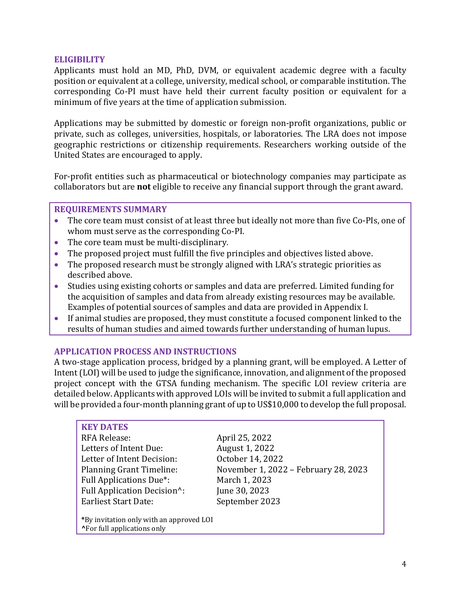### **ELIGIBILITY**

Applicants must hold an MD, PhD, DVM, or equivalent academic degree with a faculty position or equivalent at a college, university, medical school, or comparable institution. The corresponding Co-PI must have held their current faculty position or equivalent for a minimum of five years at the time of application submission.

Applications may be submitted by domestic or foreign non-profit organizations, public or private, such as colleges, universities, hospitals, or laboratories. The LRA does not impose geographic restrictions or citizenship requirements. Researchers working outside of the United States are encouraged to apply.

For-profit entities such as pharmaceutical or biotechnology companies may participate as collaborators but are **not** eligible to receive any financial support through the grant award.

### <span id="page-3-0"></span>**REQUIREMENTS SUMMARY**

- The core team must consist of at least three but ideally not more than five Co-PIs, one of whom must serve as the corresponding Co-PI.
- The core team must be multi-disciplinary.
- The proposed project must fulfill the five principles and objectives listed above.
- The proposed research must be strongly aligned with LRA's strategic priorities as described above.
- Studies using existing cohorts or samples and data are preferred. Limited funding for the acquisition of samples and data from already existing resources may be available. Examples of potential sources of samples and data are provided in Appendix I.
- If animal studies are proposed, they must constitute a focused component linked to the results of human studies and aimed towards further understanding of human lupus.

### <span id="page-3-1"></span>**APPLICATION PROCESS AND INSTRUCTIONS**

A two-stage application process, bridged by a planning grant, will be employed. A Letter of Intent (LOI) will be used to judge the significance, innovation, and alignment of the proposed project concept with the GTSA funding mechanism. The specific LOI review criteria are detailed below. Applicants with approved LOIs will be invited to submit a full application and will be provided a four-month planning grant of up to US\$10,000 to develop the full proposal.

### <span id="page-3-2"></span>**KEY DATES**

RFA Release: April 25, 2022 Letters of Intent Due: August 1, 2022<br>
Letter of Intent Decision: October 14, 2022 Letter of Intent Decision:<br>Planning Grant Timeline: Full Applications Due<sup>\*</sup>: March 1, 2023<br>Full Application Decision<sup>^</sup>: June 30, 2023 Full Application Decision^: June 30, 2023<br>Earliest Start Date: September 2023 Earliest Start Date:

November 1, 2022 – February 28, 2023<br>March 1, 2023

**\***By invitation only with an approved LOI **^**For full applications only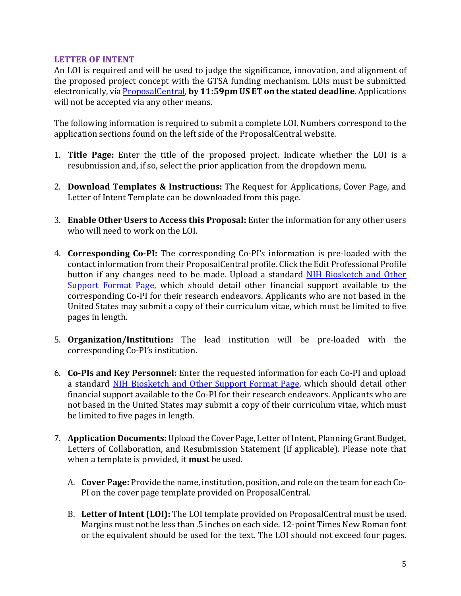### **LETTER OF INTENT**

An LOI is required and will be used to judge the significance, innovation, and alignment of the proposed project concept with the GTSA funding mechanism. LOIs must be submitted electronically, vi[a ProposalCentral,](https://proposalcentral.com/) **by 11:59pm US ET on the stated deadline**. Applications will not be accepted via any other means.

The following information is required to submit a complete LOI. Numbers correspond to the application sections found on the left side of the ProposalCentral website.

- 1. **Title Page:** Enter the title of the proposed project. Indicate whether the LOI is a resubmission and, if so, select the prior application from the dropdown menu.
- 2. **Download Templates & Instructions:** The Request for Applications, Cover Page, and Letter of Intent Template can be downloaded from this page.
- 3. **Enable Other Users to Access this Proposal:** Enter the information for any other users who will need to work on the LOI.
- 4. **Corresponding Co-PI:** The corresponding Co-PI's information is pre-loaded with the contact information from their ProposalCentral profile. Click the Edit Professional Profile button if any changes need to be made. Upload a standard [NIH Biosketch and Other](https://grants.nih.gov/grants/forms/all-forms-and-formats.htm)  [Support Format Page,](https://grants.nih.gov/grants/forms/all-forms-and-formats.htm) which should detail other financial support available to the corresponding Co-PI for their research endeavors. Applicants who are not based in the United States may submit a copy of their curriculum vitae, which must be limited to five pages in length.
- 5. **Organization/Institution:** The lead institution will be pre-loaded with the corresponding Co-PI's institution.
- 6. **Co-PIs and Key Personnel:** Enter the requested information for each Co-PI and upload a standard [NIH Biosketch and Other Support Format Page,](https://grants.nih.gov/grants/forms/all-forms-and-formats.htm) which should detail other financial support available to the Co-PI for their research endeavors. Applicants who are not based in the United States may submit a copy of their curriculum vitae, which must be limited to five pages in length.
- 7. **Application Documents:** Upload the Cover Page, Letter of Intent, Planning Grant Budget, Letters of Collaboration, and Resubmission Statement (if applicable). Please note that when a template is provided, it **must** be used.
	- A. **Cover Page:** Provide the name, institution, position, and role on the team for each Co-PI on the cover page template provided on ProposalCentral.
	- B. **Letter of Intent (LOI):** The LOI template provided on ProposalCentral must be used. Margins must not be less than .5 inches on each side. 12-point Times New Roman font or the equivalent should be used for the text. The LOI should not exceed four pages.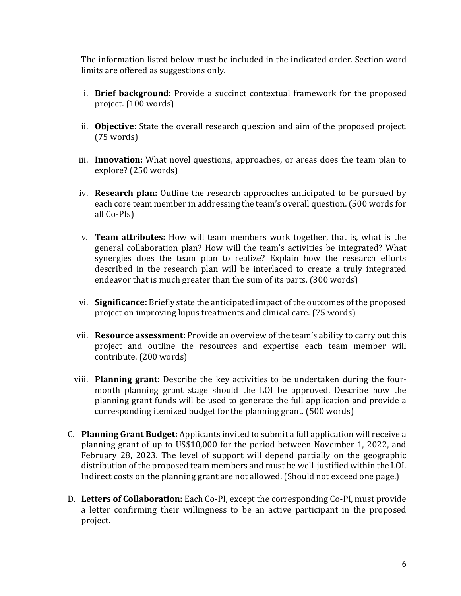The information listed below must be included in the indicated order. Section word limits are offered as suggestions only.

- i. **Brief background**: Provide a succinct contextual framework for the proposed project. (100 words)
- ii. **Objective:** State the overall research question and aim of the proposed project. (75 words)
- iii. **Innovation:** What novel questions, approaches, or areas does the team plan to explore? (250 words)
- iv. **Research plan:** Outline the research approaches anticipated to be pursued by each core team member in addressing the team's overall question. (500 words for all Co-PIs)
- v. **Team attributes:** How will team members work together, that is, what is the general collaboration plan? How will the team's activities be integrated? What synergies does the team plan to realize? Explain how the research efforts described in the research plan will be interlaced to create a truly integrated endeavor that is much greater than the sum of its parts. (300 words)
- vi. **Significance:** Briefly state the anticipated impact of the outcomes of the proposed project on improving lupus treatments and clinical care. (75 words)
- vii. **Resource assessment:** Provide an overview of the team's ability to carry out this project and outline the resources and expertise each team member will contribute. (200 words)
- viii. **Planning grant:** Describe the key activities to be undertaken during the fourmonth planning grant stage should the LOI be approved. Describe how the planning grant funds will be used to generate the full application and provide a corresponding itemized budget for the planning grant. (500 words)
- C. **Planning Grant Budget:** Applicants invited to submit a full application will receive a planning grant of up to US\$10,000 for the period between November 1, 2022, and February 28, 2023. The level of support will depend partially on the geographic distribution of the proposed team members and must be well-justified within the LOI. Indirect costs on the planning grant are not allowed. (Should not exceed one page.)
- D. **Letters of Collaboration:** Each Co-PI, except the corresponding Co-PI, must provide a letter confirming their willingness to be an active participant in the proposed project.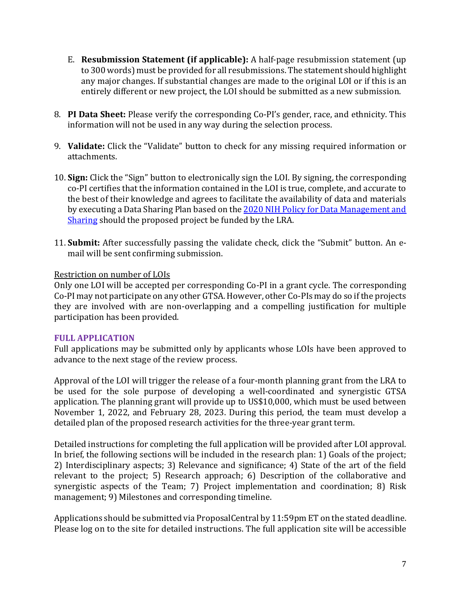- E. **Resubmission Statement (if applicable):** A half-page resubmission statement (up to 300 words) must be provided for all resubmissions. The statement should highlight any major changes. If substantial changes are made to the original LOI or if this is an entirely different or new project, the LOI should be submitted as a new submission.
- 8. **PI Data Sheet:** Please verify the corresponding Co-PI's gender, race, and ethnicity. This information will not be used in any way during the selection process.
- 9. **Validate:** Click the "Validate" button to check for any missing required information or attachments.
- 10. **Sign:** Click the "Sign" button to electronically sign the LOI. By signing, the corresponding co-PI certifies that the information contained in the LOI is true, complete, and accurate to the best of their knowledge and agrees to facilitate the availability of data and materials by executing a Data Sharing Plan based on the 2020 NIH Policy for Data Management and [Sharing](https://grants.nih.gov/grants/guide/notice-files/NOT-OD-21-013.html) should the proposed project be funded by the LRA.
- 11. **Submit:** After successfully passing the validate check, click the "Submit" button. An email will be sent confirming submission.

# Restriction on number of LOIs

Only one LOI will be accepted per corresponding Co-PI in a grant cycle. The corresponding Co-PI may not participate on any other GTSA. However, other Co-PIs may do so if the projects they are involved with are non-overlapping and a compelling justification for multiple participation has been provided.

# **FULL APPLICATION**

Full applications may be submitted only by applicants whose LOIs have been approved to advance to the next stage of the review process.

Approval of the LOI will trigger the release of a four-month planning grant from the LRA to be used for the sole purpose of developing a well-coordinated and synergistic GTSA application. The planning grant will provide up to US\$10,000, which must be used between November 1, 2022, and February 28, 2023. During this period, the team must develop a detailed plan of the proposed research activities for the three-year grant term.

Detailed instructions for completing the full application will be provided after LOI approval. In brief, the following sections will be included in the research plan: 1) Goals of the project; 2) Interdisciplinary aspects; 3) Relevance and significance; 4) State of the art of the field relevant to the project; 5) Research approach; 6) Description of the collaborative and synergistic aspects of the Team; 7) Project implementation and coordination; 8) Risk management; 9) Milestones and corresponding timeline.

Applications should be submitted via ProposalCentral by 11:59pm ET on the stated deadline. Please log on to the site for detailed instructions. The full application site will be accessible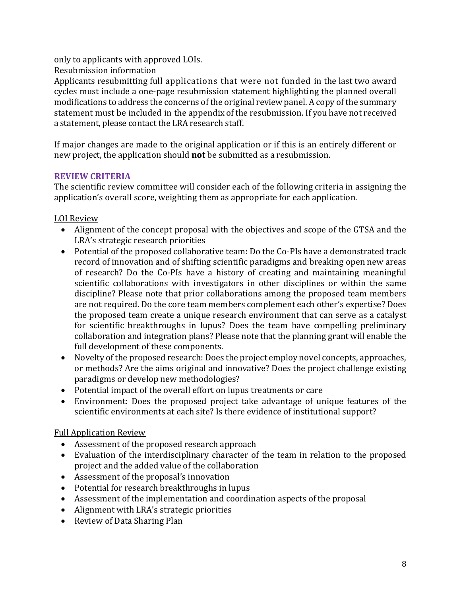only to applicants with approved LOIs.

Resubmission information

Applicants resubmitting full applications that were not funded in the last two award cycles must include a one-page resubmission statement highlighting the planned overall modifications to address the concerns of the original reviewpanel. A copy of the summary statement must be included in the appendix of the resubmission. If you have not received a statement, please contact the LRA research staff.

If major changes are made to the original application or if this is an entirely different or new project, the application should **not** be submitted as a resubmission.

# <span id="page-7-0"></span>**REVIEW CRITERIA**

The scientific review committee will consider each of the following criteria in assigning the application's overall score, weighting them as appropriate for each application.

LOI Review

- Alignment of the concept proposal with the objectives and scope of the GTSA and the LRA's strategic research priorities
- Potential of the proposed collaborative team: Do the Co-PIs have a demonstrated track record of innovation and of shifting scientific paradigms and breaking open new areas of research? Do the Co-PIs have a history of creating and maintaining meaningful scientific collaborations with investigators in other disciplines or within the same discipline? Please note that prior collaborations among the proposed team members are not required. Do the core team members complement each other's expertise? Does the proposed team create a unique research environment that can serve as a catalyst for scientific breakthroughs in lupus? Does the team have compelling preliminary collaboration and integration plans? Please note that the planning grant will enable the full development of these components.
- Novelty of the proposed research: Does the project employ novel concepts, approaches, or methods? Are the aims original and innovative? Does the project challenge existing paradigms or develop new methodologies?
- Potential impact of the overall effort on lupus treatments or care
- Environment: Does the proposed project take advantage of unique features of the scientific environments at each site? Is there evidence of institutional support?

# Full Application Review

- Assessment of the proposed research approach
- Evaluation of the interdisciplinary character of the team in relation to the proposed project and the added value of the collaboration
- Assessment of the proposal's innovation
- Potential for research breakthroughs in lupus
- Assessment of the implementation and coordination aspects of the proposal
- Alignment with LRA's strategic priorities
- Review of Data Sharing Plan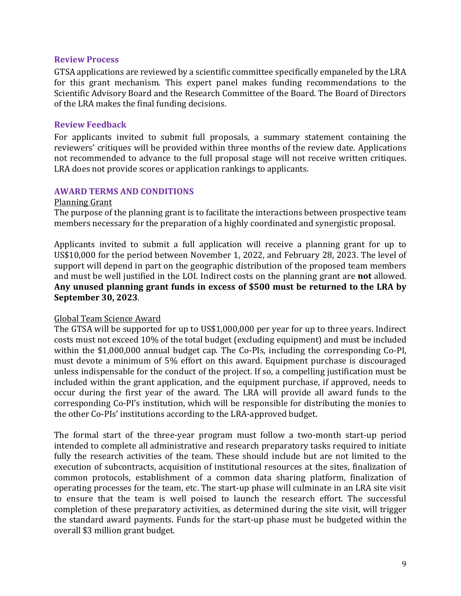### **Review Process**

GTSA applications are reviewed by a scientific committee specifically empaneled by the LRA for this grant mechanism. This expert panel makes funding recommendations to the Scientific Advisory Board and the Research Committee of the Board. The Board of Directors of the LRA makes the final funding decisions.

### **Review Feedback**

For applicants invited to submit full proposals, a summary statement containing the reviewers' critiques will be provided within three months of the review date. Applications not recommended to advance to the full proposal stage will not receive written critiques. LRA does not provide scores or application rankings to applicants.

### <span id="page-8-0"></span>**AWARD TERMS AND CONDITIONS**

#### Planning Grant

The purpose of the planning grant is to facilitate the interactions between prospective team members necessary for the preparation of a highly coordinated and synergistic proposal.

Applicants invited to submit a full application will receive a planning grant for up to US\$10,000 for the period between November 1, 2022, and February 28, 2023. The level of support will depend in part on the geographic distribution of the proposed team members and must be well justified in the LOI. Indirect costs on the planning grant are **not** allowed. **Any unused planning grant funds in excess of \$500 must be returned to the LRA by September 30, 2023**.

### Global Team Science Award

The GTSA will be supported for up to US\$1,000,000 per year for up to three years. Indirect costs must not exceed 10% of the total budget (excluding equipment) and must be included within the \$1,000,000 annual budget cap. The Co-PIs, including the corresponding Co-PI, must devote a minimum of 5% effort on this award. Equipment purchase is discouraged unless indispensable for the conduct of the project. If so, a compelling justification must be included within the grant application, and the equipment purchase, if approved, needs to occur during the first year of the award. The LRA will provide all award funds to the corresponding Co-PI's institution, which will be responsible for distributing the monies to the other Co-PIs' institutions according to the LRA-approved budget.

The formal start of the three-year program must follow a two-month start-up period intended to complete all administrative and research preparatory tasks required to initiate fully the research activities of the team. These should include but are not limited to the execution of subcontracts, acquisition of institutional resources at the sites, finalization of common protocols, establishment of a common data sharing platform, finalization of operating processes for the team, etc. The start-up phase will culminate in an LRA site visit to ensure that the team is well poised to launch the research effort. The successful completion of these preparatory activities, as determined during the site visit, will trigger the standard award payments. Funds for the start-up phase must be budgeted within the overall \$3 million grant budget.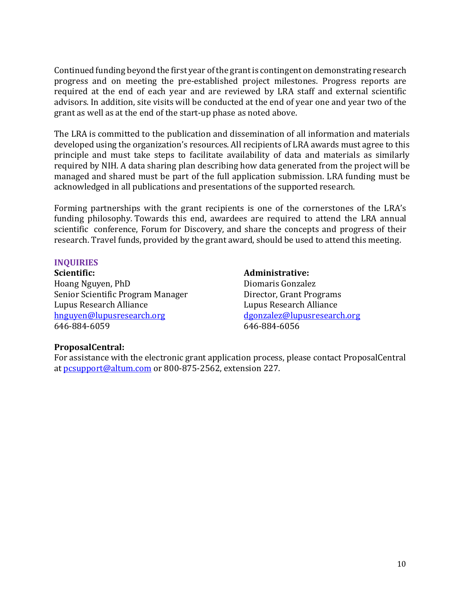Continued funding beyond the first year of the grant is contingent on demonstrating research progress and on meeting the pre-established project milestones. Progress reports are required at the end of each year and are reviewed by LRA staff and external scientific advisors. In addition, site visits will be conducted at the end of year one and year two of the grant as well as at the end of the start-up phase as noted above.

The LRA is committed to the publication and dissemination of all information and materials developed using the organization's resources. All recipients of LRA awards must agree to this principle and must take steps to facilitate availability of data and materials as similarly required by NIH. A data sharing plan describing how data generated from the project will be managed and shared must be part of the full application submission. LRA funding must be acknowledged in all publications and presentations of the supported research.

Forming partnerships with the grant recipients is one of the cornerstones of the LRA's funding philosophy. Towards this end, awardees are required to attend the LRA annual scientific conference, Forum for Discovery, and share the concepts and progress of their research. Travel funds, provided by the grant award, should be used to attend this meeting.

### <span id="page-9-0"></span>**INQUIRIES**

**Scientific:** Hoang Nguyen, PhD Senior Scientific Program Manager Lupus Research Alliance [hnguyen@lupusresearch.org](mailto:hnguyen@lupusresearch.org) 646-884-6059

### **Administrative:**

Diomaris Gonzalez Director, Grant Programs Lupus Research Alliance [dgonzalez@lupusresearch.org](mailto:dgonzalez@lupusresearch.org) 646-884-6056

# **ProposalCentral:**

For assistance with the electronic grant application process, please contact ProposalCentral at [pcsupport@altum.com](mailto:pcsupport@altum.com) or 800-875-2562, extension 227.